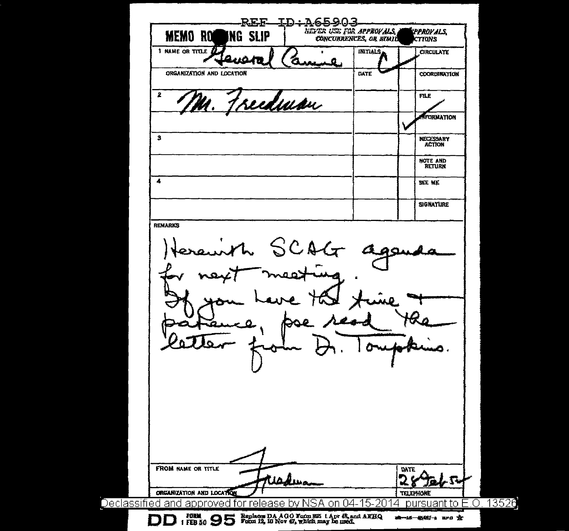| REE-<br><b>MEMO RO</b><br>ING SLIP                                                                              | ID:A65903<br>NEVER USE FOR APPROVALS,<br>CONCURRENCES, OR SIMIL |             |                                      | <b>CPPROVALS</b><br><b>CTTONS</b> |
|-----------------------------------------------------------------------------------------------------------------|-----------------------------------------------------------------|-------------|--------------------------------------|-----------------------------------|
| 1 NAME OR TITLE A                                                                                               |                                                                 | INITIALS.   |                                      | <b>CIRCULATE</b>                  |
| ORGANIZATION AND LOCATION                                                                                       |                                                                 | DATE        |                                      | COORDINATION                      |
| 2<br><u>edman</u>                                                                                               |                                                                 |             |                                      | <b>FILE</b>                       |
|                                                                                                                 |                                                                 |             |                                      | <b>Trormation</b>                 |
| 3                                                                                                               |                                                                 |             |                                      | <b>NECESSARY</b><br><b>ACTION</b> |
|                                                                                                                 |                                                                 |             |                                      | <b>NOTE AND</b><br><b>BETURN</b>  |
| 4                                                                                                               |                                                                 |             |                                      | <b>ZEE NE</b>                     |
|                                                                                                                 |                                                                 |             |                                      | <b>SIGNATURE</b>                  |
|                                                                                                                 | SCAG                                                            | IО          |                                      |                                   |
|                                                                                                                 |                                                                 | O           |                                      |                                   |
| <b>FROM NAME OR TITLE</b><br>Wadua<br>ORGANIZATION AND LOCATION<br>Declassified and approved for release by NSA | lon.<br>04                                                      | 15-201<br>4 | <b>DATE</b><br>2<br><b>TELEPHONE</b> | ۰Ω۰<br>pursuant to E.O. 13526     |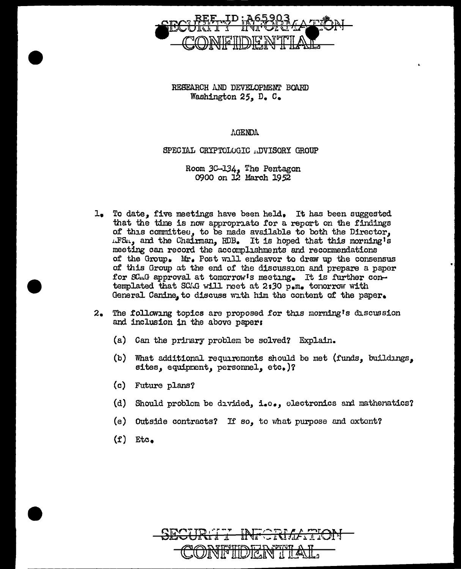

RESEARCH *l\ND* DEVELOPMENT BOA.RD Washington 25, D. C.

AGENDA

SPECIAL CRYPTOLOGIC .DVISORY GROUP

Room 3C-134, The Pentagon 0900 on J.2 March 19 *S2* 

- $1.$  To date, five meetings have been held. It has been suggested that the time is now appropriate for a report on the findings of this committee, to be made available to both the Director,  $\text{LFS}_{\text{L}}$ , and the Chairman, RDB. It is hoped that this morning is meeting can record the accomplishments and recommendations of the Group. Mr. Post will endeavor to draw up the consensus of this Group at the end of the discussion and prepare a paper for SC.1G approval at tomorrow's meeting. It is further contemplated that SCAG will reet at 2:30 p.m. tonorrow with General Canine, to discuss with him the content of the paper.
- $2.$  The following topics are proposed for this morning's discussion and inclusion in the above paper:
	- (a) Can the primary problem be solved? Explain.
	- (b) What additional requirements should be met (funds, buildings, sites, equipment, personnel, etc.)?
	- (c) Future plans?
	- (d) Should problem be divided, i.o., electronics and mathenatics?
	- (e) Outside contracts? If so, to what purpose and extent?
	- $(f)$  Etc.